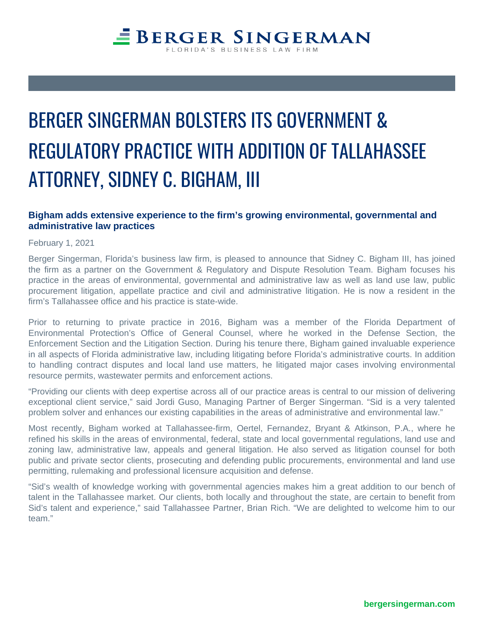## BERGER SINGERMAN BOLSTERS ITS GOVERNMENT & REGULATORY PRACTICE WITH ADDITION OF TALLAHASSEE ATTORNEY, SIDNEY C. BIGHAM, III

## **Bigham adds extensive experience to the firm's growing environmental, governmental and administrative law practices**

February 1, 2021

Berger Singerman, Florida's business law firm, is pleased to announce that Sidney C. Bigham III, has joined the firm as a partner on the Government & Regulatory and Dispute Resolution Team. Bigham focuses his practice in the areas of environmental, governmental and administrative law as well as land use law, public procurement litigation, appellate practice and civil and administrative litigation. He is now a resident in the firm's Tallahassee office and his practice is state-wide.

Prior to returning to private practice in 2016, Bigham was a member of the Florida Department of Environmental Protection's Office of General Counsel, where he worked in the Defense Section, the Enforcement Section and the Litigation Section. During his tenure there, Bigham gained invaluable experience in all aspects of Florida administrative law, including litigating before Florida's administrative courts. In addition to handling contract disputes and local land use matters, he litigated major cases involving environmental resource permits, wastewater permits and enforcement actions.

"Providing our clients with deep expertise across all of our practice areas is central to our mission of delivering exceptional client service," said Jordi Guso, Managing Partner of Berger Singerman. "Sid is a very talented problem solver and enhances our existing capabilities in the areas of administrative and environmental law."

Most recently, Bigham worked at Tallahassee-firm, Oertel, Fernandez, Bryant & Atkinson, P.A., where he refined his skills in the areas of environmental, federal, state and local governmental regulations, land use and zoning law, administrative law, appeals and general litigation. He also served as litigation counsel for both public and private sector clients, prosecuting and defending public procurements, environmental and land use permitting, rulemaking and professional licensure acquisition and defense.

"Sid's wealth of knowledge working with governmental agencies makes him a great addition to our bench of talent in the Tallahassee market. Our clients, both locally and throughout the state, are certain to benefit from Sid's talent and experience," said Tallahassee Partner, Brian Rich. "We are delighted to welcome him to our team."